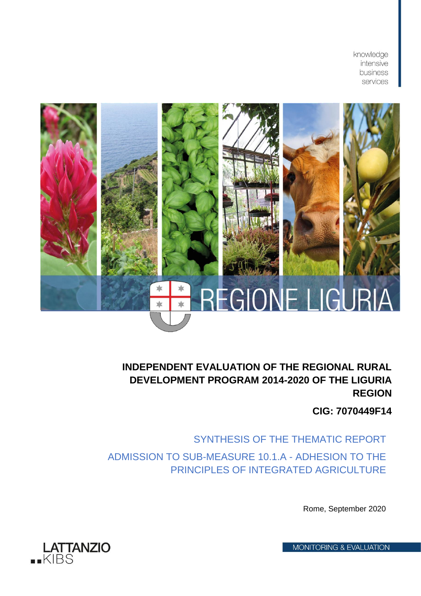knowledge intensive business services



## **INDEPENDENT EVALUATION OF THE REGIONAL RURAL DEVELOPMENT PROGRAM 2014-2020 OF THE LIGURIA REGION**

**CIG: 7070449F14**

SYNTHESIS OF THE THEMATIC REPORT ADMISSION TO SUB-MEASURE 10.1.A - ADHESION TO THE PRINCIPLES OF INTEGRATED AGRICULTURE

Rome, September 2020

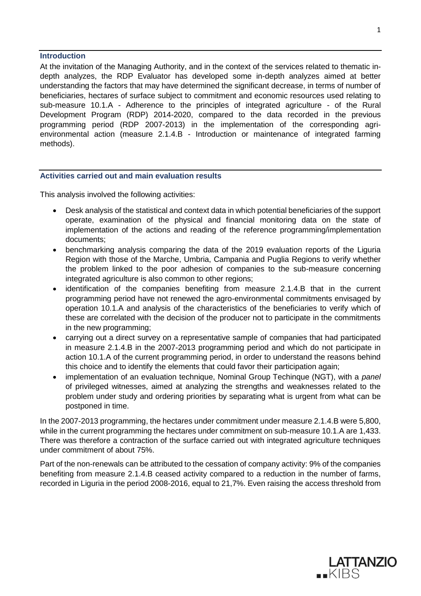## **Introduction**

At the invitation of the Managing Authority, and in the context of the services related to thematic indepth analyzes, the RDP Evaluator has developed some in-depth analyzes aimed at better understanding the factors that may have determined the significant decrease, in terms of number of beneficiaries, hectares of surface subject to commitment and economic resources used relating to sub-measure 10.1.A - Adherence to the principles of integrated agriculture - of the Rural Development Program (RDP) 2014-2020, compared to the data recorded in the previous programming period (RDP 2007-2013) in the implementation of the corresponding agrienvironmental action (measure 2.1.4.B - Introduction or maintenance of integrated farming methods).

## **Activities carried out and main evaluation results**

This analysis involved the following activities:

- Desk analysis of the statistical and context data in which potential beneficiaries of the support operate, examination of the physical and financial monitoring data on the state of implementation of the actions and reading of the reference programming/implementation documents;
- benchmarking analysis comparing the data of the 2019 evaluation reports of the Liguria Region with those of the Marche, Umbria, Campania and Puglia Regions to verify whether the problem linked to the poor adhesion of companies to the sub-measure concerning integrated agriculture is also common to other regions;
- identification of the companies benefiting from measure 2.1.4.B that in the current programming period have not renewed the agro-environmental commitments envisaged by operation 10.1.A and analysis of the characteristics of the beneficiaries to verify which of these are correlated with the decision of the producer not to participate in the commitments in the new programming;
- carrying out a direct survey on a representative sample of companies that had participated in measure 2.1.4.B in the 2007-2013 programming period and which do not participate in action 10.1.A of the current programming period, in order to understand the reasons behind this choice and to identify the elements that could favor their participation again;
- implementation of an evaluation technique, Nominal Group Techinque (NGT), with a *panel* of privileged witnesses, aimed at analyzing the strengths and weaknesses related to the problem under study and ordering priorities by separating what is urgent from what can be postponed in time.

In the 2007-2013 programming, the hectares under commitment under measure 2.1.4.B were 5,800, while in the current programming the hectares under commitment on sub-measure 10.1.A are 1,433. There was therefore a contraction of the surface carried out with integrated agriculture techniques under commitment of about 75%.

Part of the non-renewals can be attributed to the cessation of company activity: 9% of the companies benefiting from measure 2.1.4.B ceased activity compared to a reduction in the number of farms, recorded in Liguria in the period 2008-2016, equal to 21,7%. Even raising the access threshold from

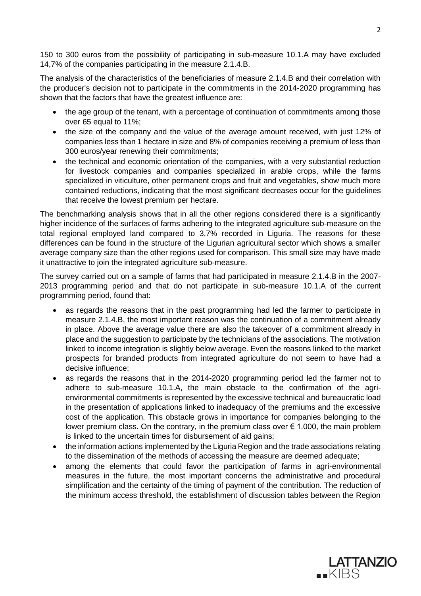150 to 300 euros from the possibility of participating in sub-measure 10.1.A may have excluded 14,7% of the companies participating in the measure 2.1.4.B.

The analysis of the characteristics of the beneficiaries of measure 2.1.4.B and their correlation with the producer's decision not to participate in the commitments in the 2014-2020 programming has shown that the factors that have the greatest influence are:

- the age group of the tenant, with a percentage of continuation of commitments among those over 65 equal to 11%;
- the size of the company and the value of the average amount received, with just 12% of companies less than 1 hectare in size and 8% of companies receiving a premium of less than 300 euros/year renewing their commitments;
- the technical and economic orientation of the companies, with a very substantial reduction for livestock companies and companies specialized in arable crops, while the farms specialized in viticulture, other permanent crops and fruit and vegetables, show much more contained reductions, indicating that the most significant decreases occur for the guidelines that receive the lowest premium per hectare.

The benchmarking analysis shows that in all the other regions considered there is a significantly higher incidence of the surfaces of farms adhering to the integrated agriculture sub-measure on the total regional employed land compared to 3,7% recorded in Liguria. The reasons for these differences can be found in the structure of the Ligurian agricultural sector which shows a smaller average company size than the other regions used for comparison. This small size may have made it unattractive to join the integrated agriculture sub-measure.

The survey carried out on a sample of farms that had participated in measure 2.1.4.B in the 2007- 2013 programming period and that do not participate in sub-measure 10.1.A of the current programming period, found that:

- as regards the reasons that in the past programming had led the farmer to participate in measure 2.1.4.B, the most important reason was the continuation of a commitment already in place. Above the average value there are also the takeover of a commitment already in place and the suggestion to participate by the technicians of the associations. The motivation linked to income integration is slightly below average. Even the reasons linked to the market prospects for branded products from integrated agriculture do not seem to have had a decisive influence;
- as regards the reasons that in the 2014-2020 programming period led the farmer not to adhere to sub-measure 10.1.A, the main obstacle to the confirmation of the agrienvironmental commitments is represented by the excessive technical and bureaucratic load in the presentation of applications linked to inadequacy of the premiums and the excessive cost of the application. This obstacle grows in importance for companies belonging to the lower premium class. On the contrary, in the premium class over  $\epsilon$  1.000, the main problem is linked to the uncertain times for disbursement of aid gains;
- the information actions implemented by the Liguria Region and the trade associations relating to the dissemination of the methods of accessing the measure are deemed adequate;
- among the elements that could favor the participation of farms in agri-environmental measures in the future, the most important concerns the administrative and procedural simplification and the certainty of the timing of payment of the contribution. The reduction of the minimum access threshold, the establishment of discussion tables between the Region

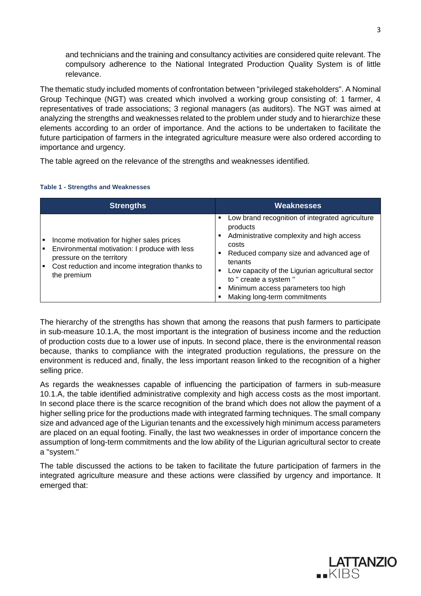and technicians and the training and consultancy activities are considered quite relevant. The compulsory adherence to the National Integrated Production Quality System is of little relevance.

The thematic study included moments of confrontation between "privileged stakeholders". A Nominal Group Techinque (NGT) was created which involved a working group consisting of: 1 farmer, 4 representatives of trade associations; 3 regional managers (as auditors). The NGT was aimed at analyzing the strengths and weaknesses related to the problem under study and to hierarchize these elements according to an order of importance. And the actions to be undertaken to facilitate the future participation of farmers in the integrated agriculture measure were also ordered according to importance and urgency.

The table agreed on the relevance of the strengths and weaknesses identified.

## **Table 1 - Strengths and Weaknesses**

| <b>Strengths</b>                                                                                                                                                                               | <b>Weaknesses</b>                                                                                                                                                                                                                                                                                                                                |
|------------------------------------------------------------------------------------------------------------------------------------------------------------------------------------------------|--------------------------------------------------------------------------------------------------------------------------------------------------------------------------------------------------------------------------------------------------------------------------------------------------------------------------------------------------|
| Income motivation for higher sales prices<br>п<br>Environmental motivation: I produce with less<br>pressure on the territory<br>Cost reduction and income integration thanks to<br>the premium | Low brand recognition of integrated agriculture<br>٠<br>products<br>Administrative complexity and high access<br>٠<br>costs<br>Reduced company size and advanced age of<br>٠<br>tenants<br>Low capacity of the Ligurian agricultural sector<br>٠<br>to " create a system "<br>Minimum access parameters too high<br>Making long-term commitments |

The hierarchy of the strengths has shown that among the reasons that push farmers to participate in sub-measure 10.1.A, the most important is the integration of business income and the reduction of production costs due to a lower use of inputs. In second place, there is the environmental reason because, thanks to compliance with the integrated production regulations, the pressure on the environment is reduced and, finally, the less important reason linked to the recognition of a higher selling price.

As regards the weaknesses capable of influencing the participation of farmers in sub-measure 10.1.A, the table identified administrative complexity and high access costs as the most important. In second place there is the scarce recognition of the brand which does not allow the payment of a higher selling price for the productions made with integrated farming techniques. The small company size and advanced age of the Ligurian tenants and the excessively high minimum access parameters are placed on an equal footing. Finally, the last two weaknesses in order of importance concern the assumption of long-term commitments and the low ability of the Ligurian agricultural sector to create a "system."

The table discussed the actions to be taken to facilitate the future participation of farmers in the integrated agriculture measure and these actions were classified by urgency and importance. It emerged that: